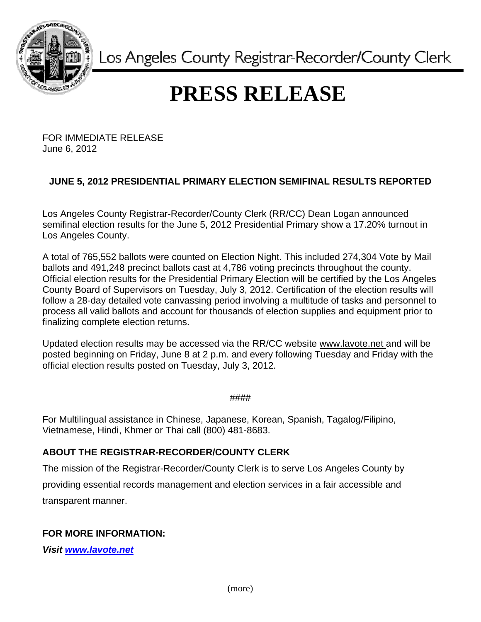

Los Angeles County Registrar-Recorder/County Clerk

## **PRESS RELEASE**

FOR IMMEDIATE RELEASE June 6, 2012

## **JUNE 5, 2012 PRESIDENTIAL PRIMARY ELECTION SEMIFINAL RESULTS REPORTED**

Los Angeles County Registrar-Recorder/County Clerk (RR/CC) Dean Logan announced semifinal election results for the June 5, 2012 Presidential Primary show a 17.20% turnout in Los Angeles County.

A total of 765,552 ballots were counted on Election Night. This included 274,304 Vote by Mail ballots and 491,248 precinct ballots cast at 4,786 voting precincts throughout the county. Official election results for the Presidential Primary Election will be certified by the Los Angeles County Board of Supervisors on Tuesday, July 3, 2012. Certification of the election results will follow a 28-day detailed vote canvassing period involving a multitude of tasks and personnel to process all valid ballots and account for thousands of election supplies and equipment prior to finalizing complete election returns.

Updated election results may be accessed via the RR/CC website www.lavote.net and will be posted beginning on Friday, June 8 at 2 p.m. and every following Tuesday and Friday with the official election results posted on Tuesday, July 3, 2012.

####

For Multilingual assistance in Chinese, Japanese, Korean, Spanish, Tagalog/Filipino, Vietnamese, Hindi, Khmer or Thai call (800) 481-8683.

## **ABOUT THE REGISTRAR-RECORDER/COUNTY CLERK**

The mission of the Registrar-Recorder/County Clerk is to serve Los Angeles County by providing essential records management and election services in a fair accessible and transparent manner.

## **FOR MORE INFORMATION:**

*Visit [www.lavote.net](http://www.lavote.net/)*